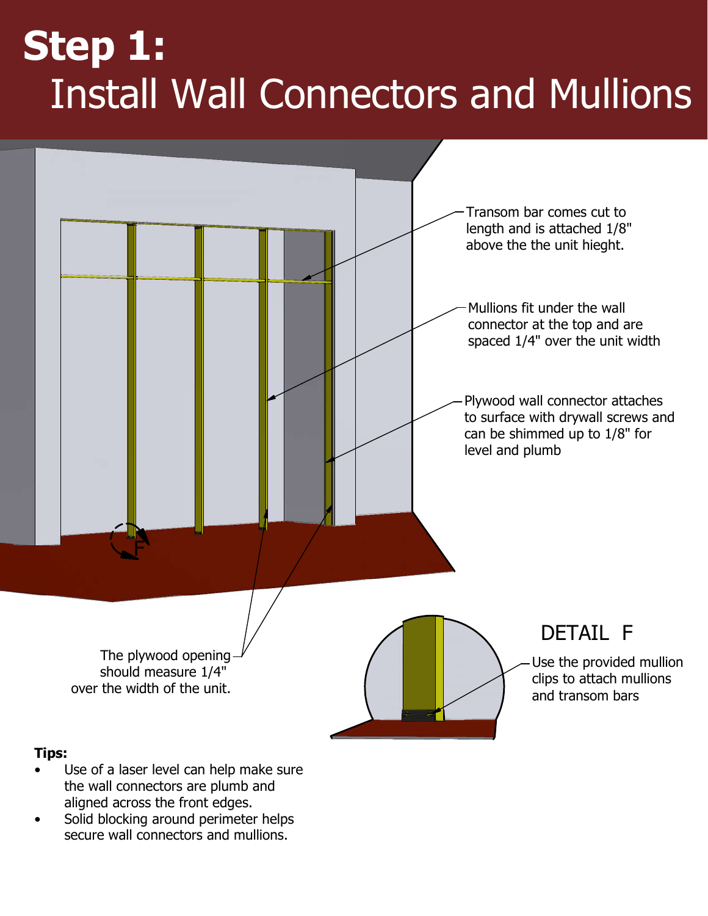## **Step 1:** Install Wall Connectors and Mullions



- the wall connectors are plumb and aligned across the front edges.
- Solid blocking around perimeter helps secure wall connectors and mullions.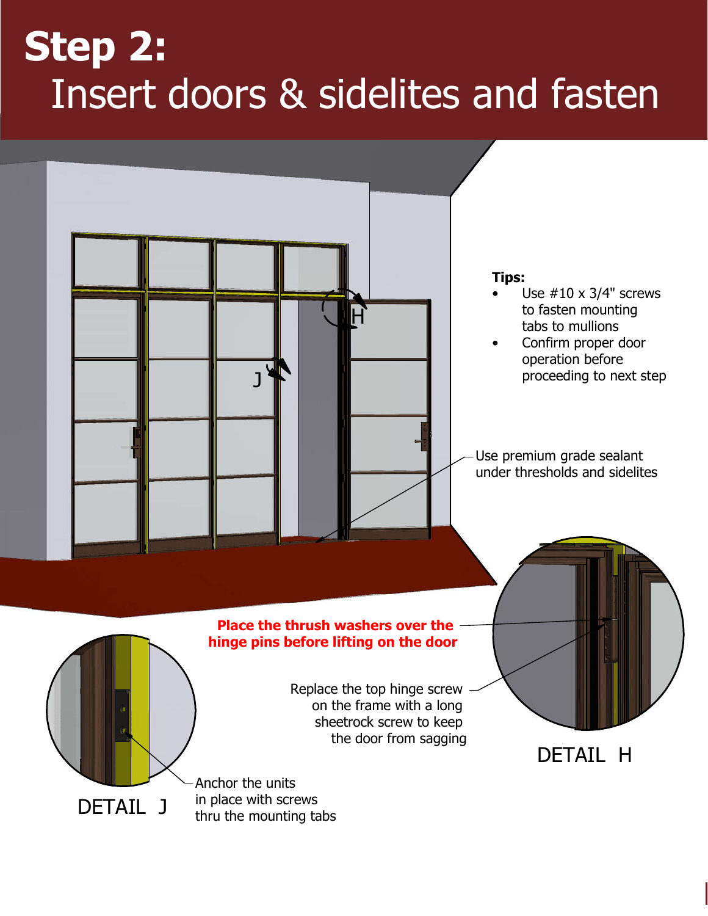## **Step 2:** Insert doors & sidelites and fasten